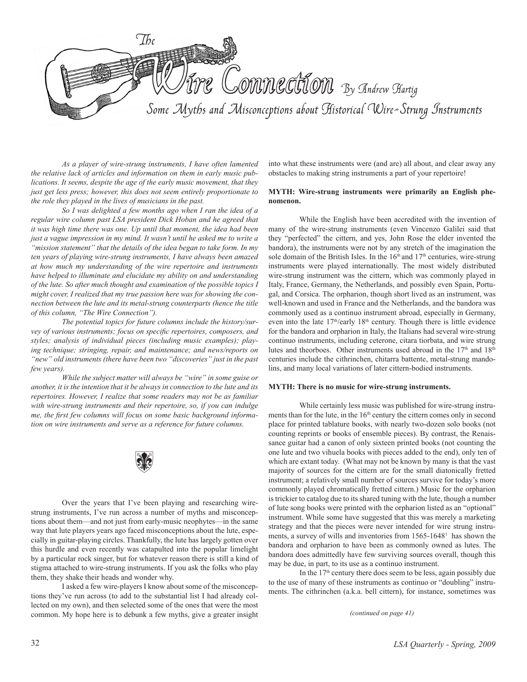

*As a player of wire-strung instruments, I have often lamented the relative lack of articles and information on them in early music publications. It seems, despite the age of the early music movement, that they just get less press; however, this does not seem entirely proportionate to the role they played in the lives of musicians in the past.*

*So I was delighted a few months ago when I ran the idea of a regular wire column past LSA president Dick Hoban and he agreed that it was high time there was one. Up until that moment, the idea had been just a vague impression in my mind. It wasn't until he asked me to write a "mission statement" that the details of the idea began to take form. In my ten years of playing wire-strung instruments, I have always been amazed at how much my understanding of the wire repertoire and instruments have helped to illuminate and elucidate my ability on and understanding of the lute. So after much thought and examination of the possible topics I might cover, I realized that my true passion here was for showing the connection between the lute and its metal-strung counterparts (hence the title of this column, "The Wire Connection").* 

*The potential topics for future columns include the history/survey of various instruments; focus on specific repertoires, composers, and styles; analysis of individual pieces (including music examples); playing technique; stringing, repair, and maintenance; and news/reports on "new" old instruments (there have been two "discoveries" just in the past few years).*

*While the subject matter will always be "wire" in some guise or another, it is the intention that it be always in connection to the lute and its repertoires. However, I realize that some readers may not be as familiar with wire-strung instruments and their repertoire, so, if you can indulge me, the first few columns will focus on some basic background information on wire instruments and serve as a reference for future columns.*



Over the years that I've been playing and researching wirestrung instruments, I've run across a number of myths and misconceptions about them––and not just from early-music neophytes––in the same way that lute players years ago faced misconceptions about the lute, especially in guitar-playing circles. Thankfully, the lute has largely gotten over this hurdle and even recently was catapulted into the popular limelight by a particular rock singer, but for whatever reason there is still a kind of stigma attached to wire-strung instruments. If you ask the folks who play them, they shake their heads and wonder why.

I asked a few wire-players I know about some of the misconceptions they've run across (to add to the substantial list I had already collected on my own), and then selected some of the ones that were the most common. My hope here is to debunk a few myths, give a greater insight into what these instruments were (and are) all about, and clear away any obstacles to making string instruments a part of your repertoire!

### **MYTH: Wire-strung instruments were primarily an English phenomenon.**

While the English have been accredited with the invention of many of the wire-strung instruments (even Vincenzo Galilei said that they "perfected" the cittern, and yes, John Rose the elder invented the bandora), the instruments were not by any stretch of the imagination the sole domain of the British Isles. In the  $16<sup>th</sup>$  and  $17<sup>th</sup>$  centuries, wire-strung instruments were played internationally. The most widely distributed wire-strung instrument was the cittern, which was commonly played in Italy, France, Germany, the Netherlands, and possibly even Spain, Portugal, and Corsica. The orpharion, though short lived as an instrument, was well-known and used in France and the Netherlands, and the bandora was commonly used as a continuo instrument abroad, especially in Germany, even into the late 17<sup>th</sup>/early 18<sup>th</sup> century. Though there is little evidence for the bandora and orpharion in Italy, the Italians had several wire-strung continuo instruments, including ceterone, citara tiorbata, and wire strung lutes and theorboes. Other instruments used abroad in the 17<sup>th</sup> and 18<sup>th</sup> centuries include the cithrinchen, chitarra battente, metal-strung mandolins, and many local variations of later cittern-bodied instruments.

## **MYTH: There is no music for wire-strung instruments.**

While certainly less music was published for wire-strung instruments than for the lute, in the  $16<sup>th</sup>$  century the cittern comes only in second place for printed tablature books, with nearly two-dozen solo books (not counting reprints or books of ensemble pieces). By contrast, the Renaissance guitar had a canon of only sixteen printed books (not counting the one lute and two vihuela books with pieces added to the end), only ten of which are extant today. (What may not be known by many is that the vast majority of sources for the cittern are for the small diatonically fretted instrument; a relatively small number of sources survive for today's more commonly played chromatically fretted cittern.) Music for the orpharion is trickier to catalog due to its shared tuning with the lute, though a number of lute song books were printed with the orpharion listed as an "optional" instrument. While some have suggested that this was merely a marketing strategy and that the pieces were never intended for wire strung instruments, a survey of wills and inventories from 1565-1648<sup>1</sup> has shown the bandora and orpharion to have been as commonly owned as lutes. The bandora does admittedly have few surviving sources overall, though this may be due, in part, to its use as a continuo instrument.

In the  $17<sup>th</sup>$  century there does seem to be less, again possibly due to the use of many of these instruments as continuo or "doubling" instruments. The cithrinchen (a.k.a. bell cittern), for instance, sometimes was

*(continued on page 41)*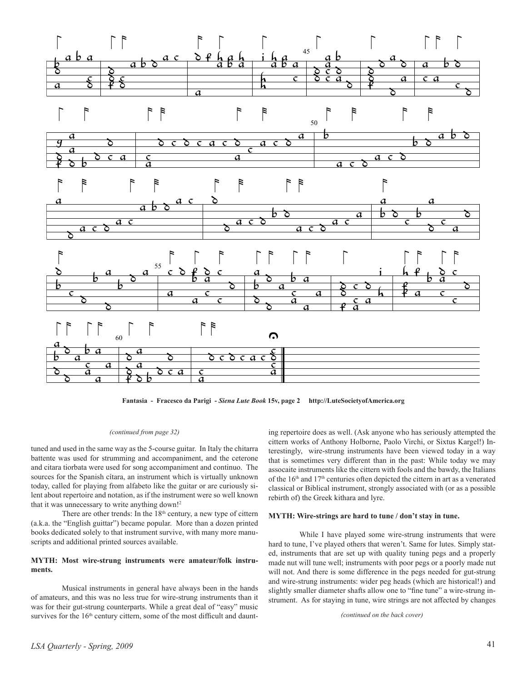

**Fantasia - Fracesco da Parigi -** *Siena Lute Book* **15v, page 2 http://LuteSocietyofAmerica.org**

## *(continued from page 32)*

tuned and used in the same way as the 5-course guitar. In Italy the chitarra battente was used for strumming and accompaniment, and the ceterone and citara tiorbata were used for song accompaniment and continuo. The sources for the Spanish cítara, an instrument which is virtually unknown today, called for playing from alfabeto like the guitar or are curiously silent about repertoire and notation, as if the instrument were so well known that it was unnecessary to write anything down!2

There are other trends: In the  $18<sup>th</sup>$  century, a new type of cittern (a.k.a. the "English guittar") became popular. More than a dozen printed books dedicated solely to that instrument survive, with many more manuscripts and additional printed sources available.

## **MYTH: Most wire-strung instruments were amateur/folk instruments.**

Musical instruments in general have always been in the hands of amateurs, and this was no less true for wire-strung instruments than it was for their gut-strung counterparts. While a great deal of "easy" music survives for the 16<sup>th</sup> century cittern, some of the most difficult and daunt-

ing repertoire does as well. (Ask anyone who has seriously attempted the cittern works of Anthony Holborne, Paolo Virchi, or Sixtus Kargel!) Interestingly, wire-strung instruments have been viewed today in a way that is sometimes very different than in the past: While today we may assocaite instruments like the cittern with fools and the bawdy, the Italians of the 16<sup>th</sup> and 17<sup>th</sup> centuries often depicted the cittern in art as a venerated classical or Biblical instrument, strongly associated with (or as a possible rebirth of) the Greek kithara and lyre.

## **MYTH: Wire-strings are hard to tune / don't stay in tune.**

While I have played some wire-strung instruments that were hard to tune, I've played others that weren't. Same for lutes. Simply stated, instruments that are set up with quality tuning pegs and a properly made nut will tune well; instruments with poor pegs or a poorly made nut will not. And there is some difference in the pegs needed for gut-strung and wire-strung instruments: wider peg heads (which are historical!) and slightly smaller diameter shafts allow one to "fine tune" a wire-strung instrument. As for staying in tune, wire strings are not affected by changes

*(continued on the back cover)*